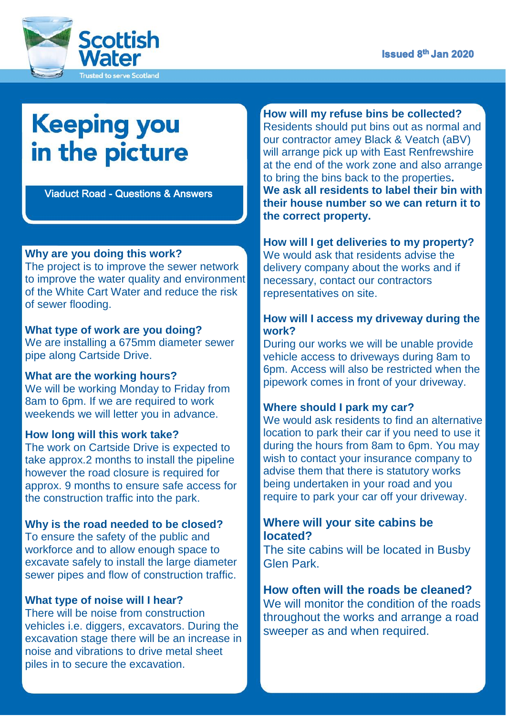

# **Keeping you** in the picture

Viaduct Road - Questions & Answers

# **Why are you doing this work?**

The project is to improve the sewer network to improve the water quality and environment of the White Cart Water and reduce the risk of sewer flooding.

#### **What type of work are you doing?**

We are installing a 675mm diameter sewer pipe along Cartside Drive.

#### **What are the working hours?**

We will be working Monday to Friday from 8am to 6pm. If we are required to work weekends we will letter you in advance.

#### **How long will this work take?**

The work on Cartside Drive is expected to take approx.2 months to install the pipeline however the road closure is required for approx. 9 months to ensure safe access for the construction traffic into the park.

#### **Why is the road needed to be closed?**

To ensure the safety of the public and workforce and to allow enough space to excavate safely to install the large diameter sewer pipes and flow of construction traffic.

#### **What type of noise will I hear?**

There will be noise from construction vehicles i.e. diggers, excavators. During the excavation stage there will be an increase in noise and vibrations to drive metal sheet piles in to secure the excavation.

**How will my refuse bins be collected?** Residents should put bins out as normal and our contractor amey Black & Veatch (aBV) will arrange pick up with East Renfrewshire at the end of the work zone and also arrange to bring the bins back to the properties**. We ask all residents to label their bin with their house number so we can return it to the correct property.** 

# **How will I get deliveries to my property?**

We would ask that residents advise the delivery company about the works and if necessary, contact our contractors representatives on site.

#### **How will I access my driveway during the work?**

During our works we will be unable provide vehicle access to driveways during 8am to 6pm. Access will also be restricted when the pipework comes in front of your driveway.

#### **Where should I park my car?**

We would ask residents to find an alternative location to park their car if you need to use it during the hours from 8am to 6pm. You may wish to contact your insurance company to advise them that there is statutory works being undertaken in your road and you require to park your car off your driveway.

### **Where will your site cabins be located?**

The site cabins will be located in Busby Glen Park.

# **How often will the roads be cleaned?** We will monitor the condition of the roads throughout the works and arrange a road sweeper as and when required.